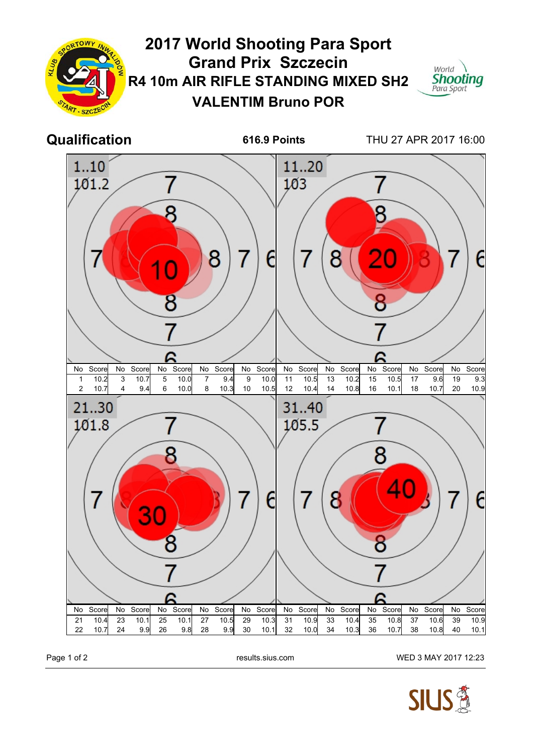

Page 1 of 2 **Page 1 of 2** results.sius.com WED 3 MAY 2017 12:23

**SIUS**